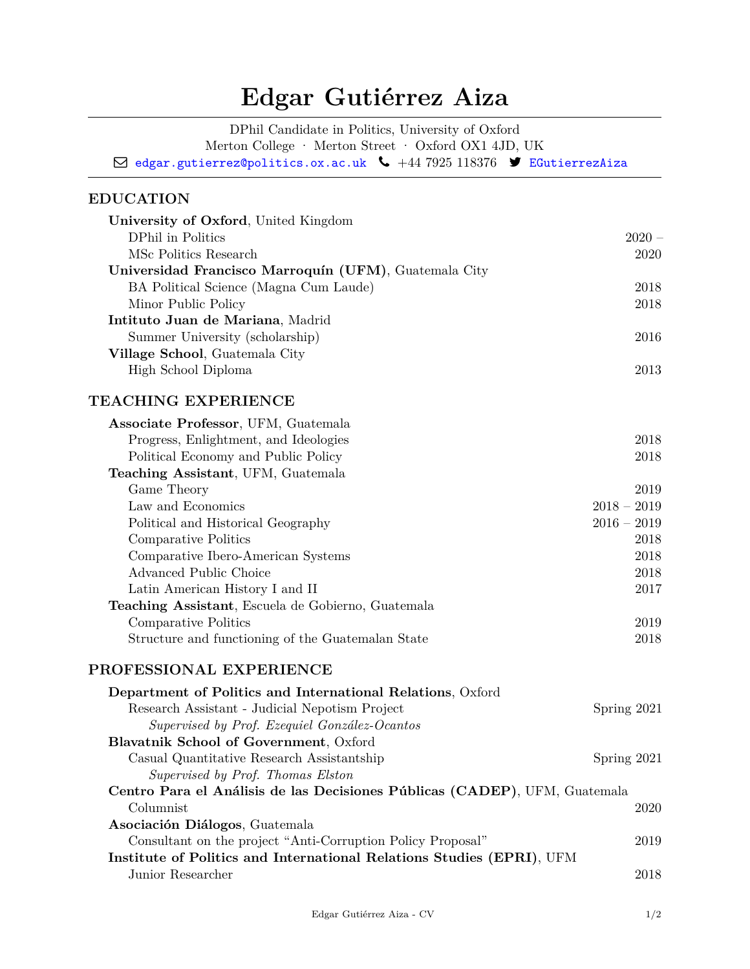# **Edgar Gutiérrez Aiza**

DPhil Candidate in Politics, University of Oxford Merton College · Merton Street · Oxford OX1 4JD, UK  $\boxtimes$  [edgar.gutierrez@politics.ox.ac.uk](mailto:)  $\bullet$  +44 7925 118376  $\blacktriangleright$  [EGutierrezAiza](https:/twitter.com/EGutierrezAiza)

# **EDUCATION**

| University of Oxford, United Kingdom                                       |               |
|----------------------------------------------------------------------------|---------------|
| DPhil in Politics                                                          | $2020 -$      |
| MSc Politics Research                                                      | 2020          |
| Universidad Francisco Marroquín (UFM), Guatemala City                      |               |
| BA Political Science (Magna Cum Laude)                                     | 2018          |
| Minor Public Policy                                                        | 2018          |
| Intituto Juan de Mariana, Madrid                                           |               |
| Summer University (scholarship)                                            | 2016          |
| Village School, Guatemala City                                             |               |
| High School Diploma                                                        | 2013          |
| TEACHING EXPERIENCE                                                        |               |
| Associate Professor, UFM, Guatemala                                        |               |
| Progress, Enlightment, and Ideologies                                      | 2018          |
| Political Economy and Public Policy                                        | 2018          |
| Teaching Assistant, UFM, Guatemala                                         |               |
| Game Theory                                                                | 2019          |
| Law and Economics                                                          | $2018 - 2019$ |
| Political and Historical Geography                                         | $2016 - 2019$ |
| Comparative Politics                                                       | 2018          |
| Comparative Ibero-American Systems                                         | 2018          |
| Advanced Public Choice                                                     | 2018          |
| Latin American History I and II                                            | 2017          |
| Teaching Assistant, Escuela de Gobierno, Guatemala                         |               |
| Comparative Politics                                                       | 2019          |
| Structure and functioning of the Guatemalan State                          | 2018          |
| PROFESSIONAL EXPERIENCE                                                    |               |
| Department of Politics and International Relations, Oxford                 |               |
| Research Assistant - Judicial Nepotism Project                             | Spring 2021   |
| Supervised by Prof. Ezequiel González-Ocantos                              |               |
| Blavatnik School of Government, Oxford                                     |               |
| Casual Quantitative Research Assistantship                                 | Spring 2021   |
| Supervised by Prof. Thomas Elston                                          |               |
| Centro Para el Análisis de las Decisiones Públicas (CADEP), UFM, Guatemala |               |
| Columnist                                                                  | 2020          |
| Asociación Diálogos, Guatemala                                             |               |
| Consultant on the project "Anti-Corruption Policy Proposal"                | 2019          |
| Institute of Politics and International Relations Studies (EPRI), UFM      |               |
| Junior Researcher                                                          | 2018          |